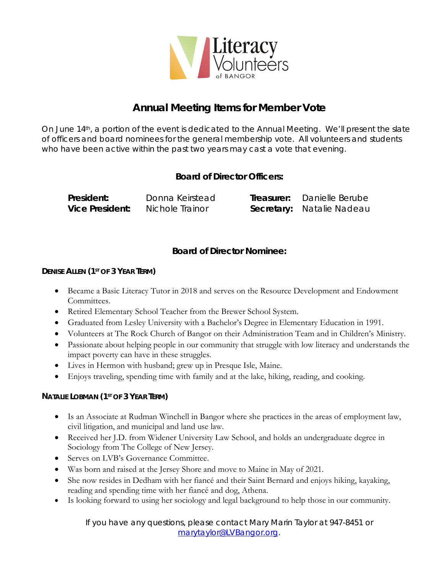

# **Annual Meeting Items for Member Vote**

On June 14th, a portion of the event is dedicated to the Annual Meeting. We'll present the slate of officers and board nominees for the general membership vote. All volunteers and students who have been active within the past two years may cast a vote that evening.

## **Board of Director Officers:**

**President:** Donna Keirstead **Treasurer:** Danielle Berube **Vice President:** Nichole Trainor **Secretary:** Natalie Nadeau

## **Board of Director Nominee:**

#### **DENISE ALLEN (1ST OF 3 YEAR TERM)**

- Became a Basic Literacy Tutor in 2018 and serves on the Resource Development and Endowment Committees.
- Retired Elementary School Teacher from the Brewer School System.
- Graduated from Lesley University with a Bachelor's Degree in Elementary Education in 1991.
- Volunteers at The Rock Church of Bangor on their Administration Team and in Children's Ministry.
- Passionate about helping people in our community that struggle with low literacy and understands the impact poverty can have in these struggles.
- Lives in Hermon with husband; grew up in Presque Isle, Maine.
- Enjoys traveling, spending time with family and at the lake, hiking, reading, and cooking.

### **NATALIE LOBMAN (1ST OF 3 YEAR TERM)**

- Is an Associate at Rudman Winchell in Bangor where she practices in the areas of employment law, civil litigation, and municipal and land use law.
- Received her J.D. from Widener University Law School, and holds an undergraduate degree in Sociology from The College of New Jersey.
- Serves on LVB's Governance Committee.
- Was born and raised at the Jersey Shore and move to Maine in May of 2021.
- She now resides in Dedham with her fiancé and their Saint Bernard and enjoys hiking, kayaking, reading and spending time with her fiancé and dog, Athena.
- Is looking forward to using her sociology and legal background to help those in our community.

If you have any questions, please contact Mary Marin Taylor at 947-8451 or [marytaylor@LVBangor.org.](mailto:marytaylor@LVBangor.org)